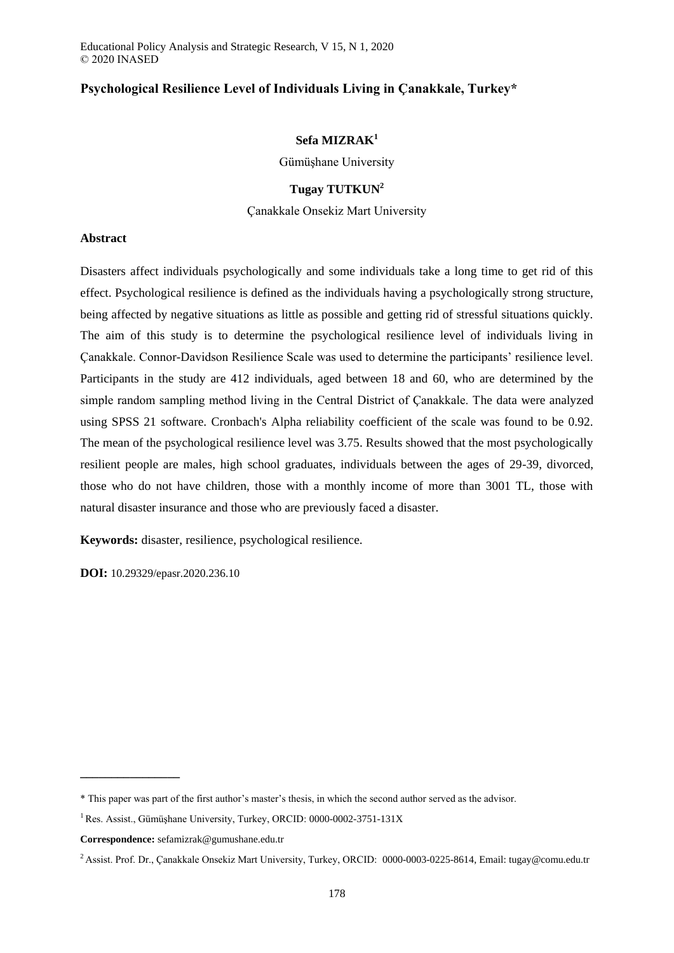Educational Policy Analysis and Strategic Research, V 15, N 1, 2020 © 2020 INASED

# **Psychological Resilience Level of Individuals Living in Çanakkale, Turkey\***

### **Sefa MIZRAK<sup>1</sup>**

Gümüşhane University

# **Tugay TUTKUN<sup>2</sup>**

Çanakkale Onsekiz Mart University

### **Abstract**

Disasters affect individuals psychologically and some individuals take a long time to get rid of this effect. Psychological resilience is defined as the individuals having a psychologically strong structure, being affected by negative situations as little as possible and getting rid of stressful situations quickly. The aim of this study is to determine the psychological resilience level of individuals living in Çanakkale. Connor-Davidson Resilience Scale was used to determine the participants' resilience level. Participants in the study are 412 individuals, aged between 18 and 60, who are determined by the simple random sampling method living in the Central District of Çanakkale. The data were analyzed using SPSS 21 software. Cronbach's Alpha reliability coefficient of the scale was found to be 0.92. The mean of the psychological resilience level was 3.75. Results showed that the most psychologically resilient people are males, high school graduates, individuals between the ages of 29-39, divorced, those who do not have children, those with a monthly income of more than 3001 TL, those with natural disaster insurance and those who are previously faced a disaster.

**Keywords:** disaster, resilience, psychological resilience.

**DOI:** 10.29329/epasr.2020.236.10

**\_\_\_\_\_\_\_\_\_\_\_\_\_\_\_\_**

<sup>\*</sup> This paper was part of the first author's master's thesis, in which the second author served as the advisor.

<sup>1</sup>Res. Assist., Gümüşhane University, Turkey, ORCID: [0000-0002-3751-131X](https://orcid.org/0000-0002-3751-131X)

**Correspondence:** sefamizrak@gumushane.edu.tr

<sup>&</sup>lt;sup>2</sup> Assist. Prof. Dr., Çanakkale Onsekiz Mart University, Turkey, ORCID[: 0000-0003-0225-8614,](https://orcid.org/0000-0003-0225-8614) Email: tugay@comu.edu.tr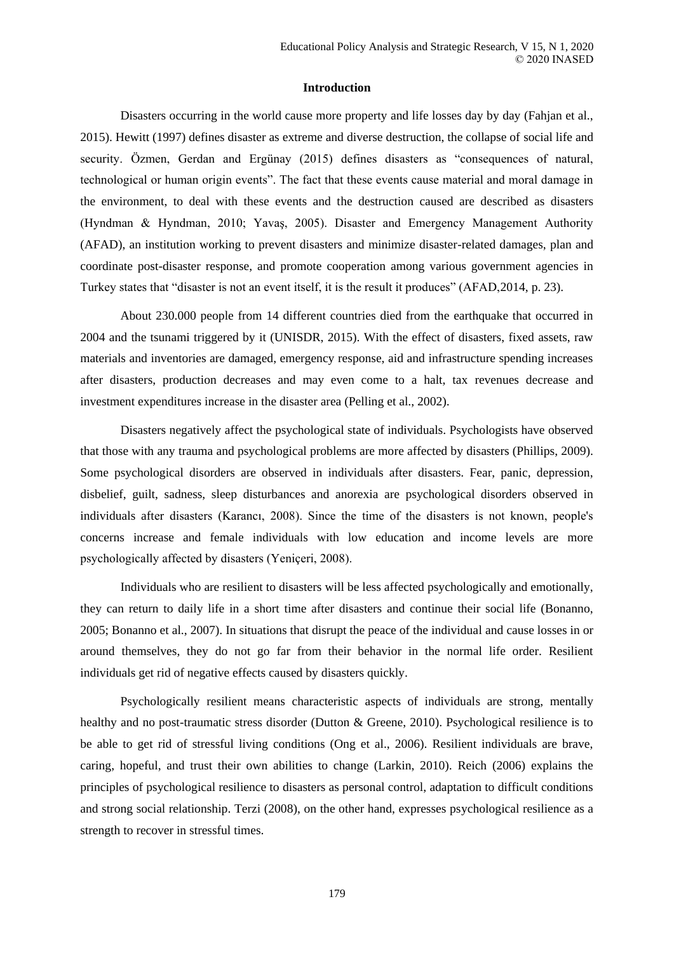### **Introduction**

Disasters occurring in the world cause more property and life losses day by day (Fahjan et al., 2015). Hewitt (1997) defines disaster as extreme and diverse destruction, the collapse of social life and security. Özmen, Gerdan and Ergünay (2015) defines disasters as "consequences of natural, technological or human origin events". The fact that these events cause material and moral damage in the environment, to deal with these events and the destruction caused are described as disasters (Hyndman & Hyndman, 2010; Yavaş, 2005). Disaster and Emergency Management Authority (AFAD), an institution working to prevent disasters and minimize disaster-related damages, plan and coordinate post-disaster response, and promote cooperation among various government agencies in Turkey states that "disaster is not an event itself, it is the result it produces" (AFAD,2014, p. 23).

About 230.000 people from 14 different countries died from the earthquake that occurred in 2004 and the tsunami triggered by it (UNISDR, 2015). With the effect of disasters, fixed assets, raw materials and inventories are damaged, emergency response, aid and infrastructure spending increases after disasters, production decreases and may even come to a halt, tax revenues decrease and investment expenditures increase in the disaster area (Pelling et al., 2002).

Disasters negatively affect the psychological state of individuals. Psychologists have observed that those with any trauma and psychological problems are more affected by disasters (Phillips, 2009). Some psychological disorders are observed in individuals after disasters. Fear, panic, depression, disbelief, guilt, sadness, sleep disturbances and anorexia are psychological disorders observed in individuals after disasters (Karancı, 2008). Since the time of the disasters is not known, people's concerns increase and female individuals with low education and income levels are more psychologically affected by disasters (Yeniçeri, 2008).

Individuals who are resilient to disasters will be less affected psychologically and emotionally, they can return to daily life in a short time after disasters and continue their social life (Bonanno, 2005; Bonanno et al., 2007). In situations that disrupt the peace of the individual and cause losses in or around themselves, they do not go far from their behavior in the normal life order. Resilient individuals get rid of negative effects caused by disasters quickly.

Psychologically resilient means characteristic aspects of individuals are strong, mentally healthy and no post-traumatic stress disorder (Dutton & Greene, 2010). Psychological resilience is to be able to get rid of stressful living conditions (Ong et al., 2006). Resilient individuals are brave, caring, hopeful, and trust their own abilities to change (Larkin, 2010). Reich (2006) explains the principles of psychological resilience to disasters as personal control, adaptation to difficult conditions and strong social relationship. Terzi (2008), on the other hand, expresses psychological resilience as a strength to recover in stressful times.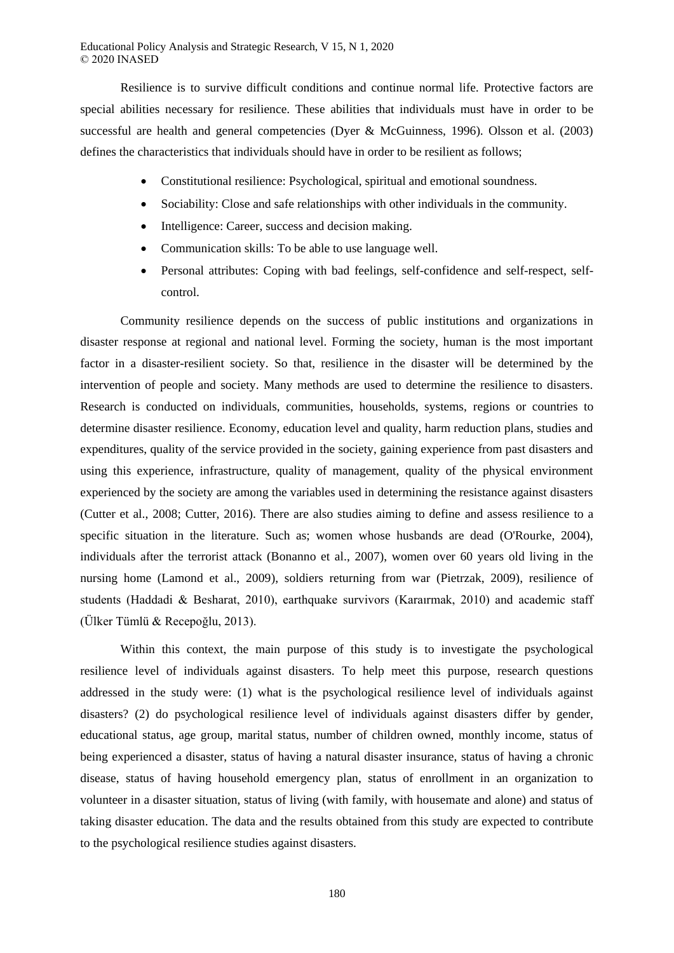Resilience is to survive difficult conditions and continue normal life. Protective factors are special abilities necessary for resilience. These abilities that individuals must have in order to be successful are health and general competencies (Dyer & McGuinness, 1996). Olsson et al. (2003) defines the characteristics that individuals should have in order to be resilient as follows;

- Constitutional resilience: Psychological, spiritual and emotional soundness.
- Sociability: Close and safe relationships with other individuals in the community.
- Intelligence: Career, success and decision making.
- Communication skills: To be able to use language well.
- Personal attributes: Coping with bad feelings, self-confidence and self-respect, selfcontrol.

Community resilience depends on the success of public institutions and organizations in disaster response at regional and national level. Forming the society, human is the most important factor in a disaster-resilient society. So that, resilience in the disaster will be determined by the intervention of people and society. Many methods are used to determine the resilience to disasters. Research is conducted on individuals, communities, households, systems, regions or countries to determine disaster resilience. Economy, education level and quality, harm reduction plans, studies and expenditures, quality of the service provided in the society, gaining experience from past disasters and using this experience, infrastructure, quality of management, quality of the physical environment experienced by the society are among the variables used in determining the resistance against disasters (Cutter et al., 2008; Cutter, 2016). There are also studies aiming to define and assess resilience to a specific situation in the literature. Such as; women whose husbands are dead (O'Rourke, 2004), individuals after the terrorist attack (Bonanno et al., 2007), women over 60 years old living in the nursing home (Lamond et al., 2009), soldiers returning from war (Pietrzak, 2009), resilience of students (Haddadi & Besharat, 2010), earthquake survivors (Karaırmak, 2010) and academic staff (Ülker Tümlü & Recepoğlu, 2013).

Within this context, the main purpose of this study is to investigate the psychological resilience level of individuals against disasters. To help meet this purpose, research questions addressed in the study were: (1) what is the psychological resilience level of individuals against disasters? (2) do psychological resilience level of individuals against disasters differ by gender, educational status, age group, marital status, number of children owned, monthly income, status of being experienced a disaster, status of having a natural disaster insurance, status of having a chronic disease, status of having household emergency plan, status of enrollment in an organization to volunteer in a disaster situation, status of living (with family, with housemate and alone) and status of taking disaster education. The data and the results obtained from this study are expected to contribute to the psychological resilience studies against disasters.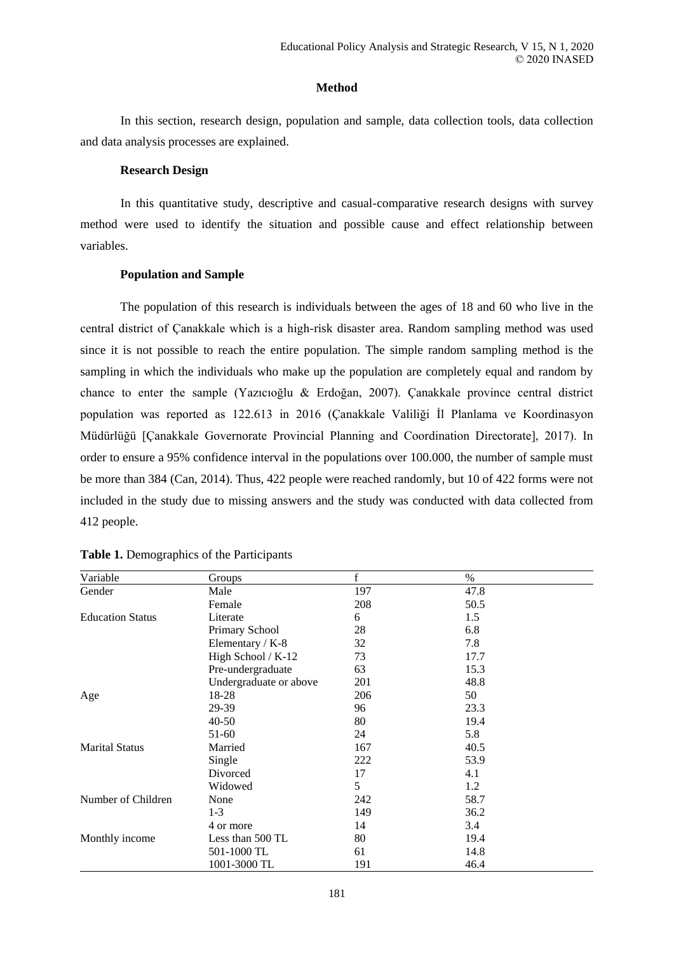# **Method**

In this section, research design, population and sample, data collection tools, data collection and data analysis processes are explained.

## **Research Design**

In this quantitative study, descriptive and casual-comparative research designs with survey method were used to identify the situation and possible cause and effect relationship between variables.

# **Population and Sample**

The population of this research is individuals between the ages of 18 and 60 who live in the central district of Çanakkale which is a high-risk disaster area. Random sampling method was used since it is not possible to reach the entire population. The simple random sampling method is the sampling in which the individuals who make up the population are completely equal and random by chance to enter the sample (Yazıcıoğlu & Erdoğan, 2007). Çanakkale province central district population was reported as 122.613 in 2016 (Çanakkale Valiliği İl Planlama ve Koordinasyon Müdürlüğü [Çanakkale Governorate Provincial Planning and Coordination Directorate], 2017). In order to ensure a 95% confidence interval in the populations over 100.000, the number of sample must be more than 384 (Can, 2014). Thus, 422 people were reached randomly, but 10 of 422 forms were not included in the study due to missing answers and the study was conducted with data collected from 412 people.

| Variable                | Groups                 | $\mathbf f$ | $\%$ |
|-------------------------|------------------------|-------------|------|
| Gender                  | Male                   | 197         | 47.8 |
|                         | Female                 | 208         | 50.5 |
| <b>Education Status</b> | Literate               | 6           | 1.5  |
|                         | Primary School         | 28          | 6.8  |
|                         | Elementary / K-8       | 32          | 7.8  |
|                         | High School / K-12     | 73          | 17.7 |
|                         | Pre-undergraduate      | 63          | 15.3 |
|                         | Undergraduate or above | 201         | 48.8 |
| Age                     | 18-28                  | 206         | 50   |
|                         | 29-39                  | 96          | 23.3 |
|                         | $40 - 50$              | 80          | 19.4 |
|                         | 51-60                  | 24          | 5.8  |
| <b>Marital Status</b>   | Married                | 167         | 40.5 |
|                         | Single                 | 222         | 53.9 |
|                         | Divorced               | 17          | 4.1  |
|                         | Widowed                | 5           | 1.2  |
| Number of Children      | None                   | 242         | 58.7 |
|                         | $1-3$                  | 149         | 36.2 |
|                         | 4 or more              | 14          | 3.4  |
| Monthly income          | Less than 500 TL       | 80          | 19.4 |
|                         | 501-1000 TL            | 61          | 14.8 |
|                         | 1001-3000 TL           | 191         | 46.4 |

| Table 1. Demographics of the Participants |  |  |  |
|-------------------------------------------|--|--|--|
|-------------------------------------------|--|--|--|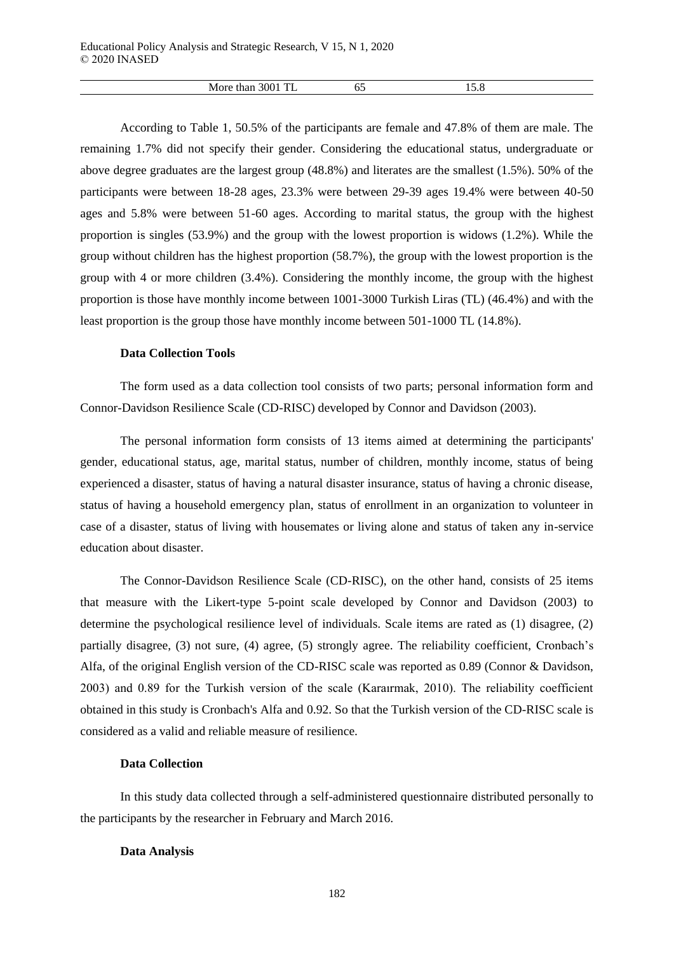| ∩∩<br>MU.<br>ная<br>11 J J<br>⊥⊥<br>. | ບບ | $\cdot$<br>____ |  |
|---------------------------------------|----|-----------------|--|

According to Table 1, 50.5% of the participants are female and 47.8% of them are male. The remaining 1.7% did not specify their gender. Considering the educational status, undergraduate or above degree graduates are the largest group (48.8%) and literates are the smallest (1.5%). 50% of the participants were between 18-28 ages, 23.3% were between 29-39 ages 19.4% were between 40-50 ages and 5.8% were between 51-60 ages. According to marital status, the group with the highest proportion is singles (53.9%) and the group with the lowest proportion is widows (1.2%). While the group without children has the highest proportion (58.7%), the group with the lowest proportion is the group with 4 or more children (3.4%). Considering the monthly income, the group with the highest proportion is those have monthly income between 1001-3000 Turkish Liras (TL) (46.4%) and with the least proportion is the group those have monthly income between 501-1000 TL (14.8%).

### **Data Collection Tools**

The form used as a data collection tool consists of two parts; personal information form and Connor-Davidson Resilience Scale (CD-RISC) developed by Connor and Davidson (2003).

The personal information form consists of 13 items aimed at determining the participants' gender, educational status, age, marital status, number of children, monthly income, status of being experienced a disaster, status of having a natural disaster insurance, status of having a chronic disease, status of having a household emergency plan, status of enrollment in an organization to volunteer in case of a disaster, status of living with housemates or living alone and status of taken any in-service education about disaster.

The Connor-Davidson Resilience Scale (CD-RISC), on the other hand, consists of 25 items that measure with the Likert-type 5-point scale developed by Connor and Davidson (2003) to determine the psychological resilience level of individuals. Scale items are rated as (1) disagree, (2) partially disagree, (3) not sure, (4) agree, (5) strongly agree. The reliability coefficient, Cronbach's Alfa, of the original English version of the CD-RISC scale was reported as 0.89 (Connor & Davidson, 2003) and 0.89 for the Turkish version of the scale (Karaırmak, 2010). The reliability coefficient obtained in this study is Cronbach's Alfa and 0.92. So that the Turkish version of the CD-RISC scale is considered as a valid and reliable measure of resilience.

# **Data Collection**

In this study data collected through a self-administered questionnaire distributed personally to the participants by the researcher in February and March 2016.

### **Data Analysis**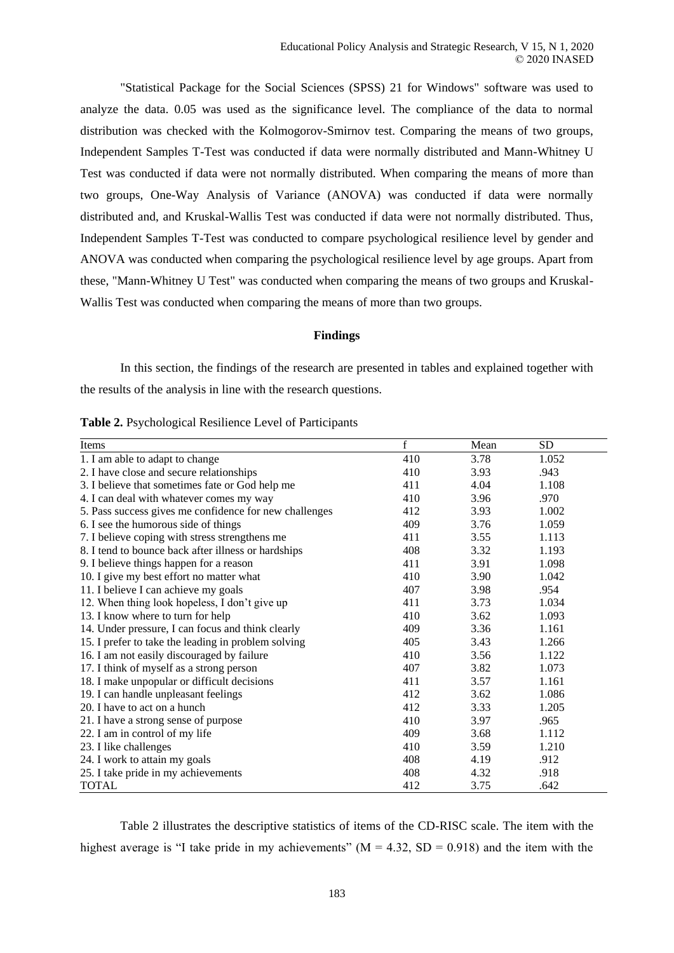"Statistical Package for the Social Sciences (SPSS) 21 for Windows" software was used to analyze the data. 0.05 was used as the significance level. The compliance of the data to normal distribution was checked with the Kolmogorov-Smirnov test. Comparing the means of two groups, Independent Samples T-Test was conducted if data were normally distributed and Mann-Whitney U Test was conducted if data were not normally distributed. When comparing the means of more than two groups, One-Way Analysis of Variance (ANOVA) was conducted if data were normally distributed and, and Kruskal-Wallis Test was conducted if data were not normally distributed. Thus, Independent Samples T-Test was conducted to compare psychological resilience level by gender and ANOVA was conducted when comparing the psychological resilience level by age groups. Apart from these, "Mann-Whitney U Test" was conducted when comparing the means of two groups and Kruskal-Wallis Test was conducted when comparing the means of more than two groups.

### **Findings**

In this section, the findings of the research are presented in tables and explained together with the results of the analysis in line with the research questions.

| Items                                                  | $\mathbf f$ | Mean | <b>SD</b> |
|--------------------------------------------------------|-------------|------|-----------|
| 1. I am able to adapt to change                        | 410         | 3.78 | 1.052     |
| 2. I have close and secure relationships               | 410         | 3.93 | .943      |
| 3. I believe that sometimes fate or God help me        | 411         | 4.04 | 1.108     |
| 4. I can deal with whatever comes my way               | 410         | 3.96 | .970      |
| 5. Pass success gives me confidence for new challenges | 412         | 3.93 | 1.002     |
| 6. I see the humorous side of things                   | 409         | 3.76 | 1.059     |
| 7. I believe coping with stress strengthens me         | 411         | 3.55 | 1.113     |
| 8. I tend to bounce back after illness or hardships    | 408         | 3.32 | 1.193     |
| 9. I believe things happen for a reason                | 411         | 3.91 | 1.098     |
| 10. I give my best effort no matter what               | 410         | 3.90 | 1.042     |
| 11. I believe I can achieve my goals                   | 407         | 3.98 | .954      |
| 12. When thing look hopeless, I don't give up          | 411         | 3.73 | 1.034     |
| 13. I know where to turn for help                      | 410         | 3.62 | 1.093     |
| 14. Under pressure, I can focus and think clearly      | 409         | 3.36 | 1.161     |
| 15. I prefer to take the leading in problem solving    | 405         | 3.43 | 1.266     |
| 16. I am not easily discouraged by failure             | 410         | 3.56 | 1.122     |
| 17. I think of myself as a strong person               | 407         | 3.82 | 1.073     |
| 18. I make unpopular or difficult decisions            | 411         | 3.57 | 1.161     |
| 19. I can handle unpleasant feelings                   | 412         | 3.62 | 1.086     |
| 20. I have to act on a hunch                           | 412         | 3.33 | 1.205     |
| 21. I have a strong sense of purpose                   | 410         | 3.97 | .965      |
| 22. I am in control of my life                         | 409         | 3.68 | 1.112     |
| 23. I like challenges                                  | 410         | 3.59 | 1.210     |
| 24. I work to attain my goals                          | 408         | 4.19 | .912      |
| 25. I take pride in my achievements                    | 408         | 4.32 | .918      |
| <b>TOTAL</b>                                           | 412         | 3.75 | .642      |

|  | Table 2. Psychological Resilience Level of Participants |  |  |  |
|--|---------------------------------------------------------|--|--|--|
|--|---------------------------------------------------------|--|--|--|

Table 2 illustrates the descriptive statistics of items of the CD-RISC scale. The item with the highest average is "I take pride in my achievements" ( $M = 4.32$ , SD = 0.918) and the item with the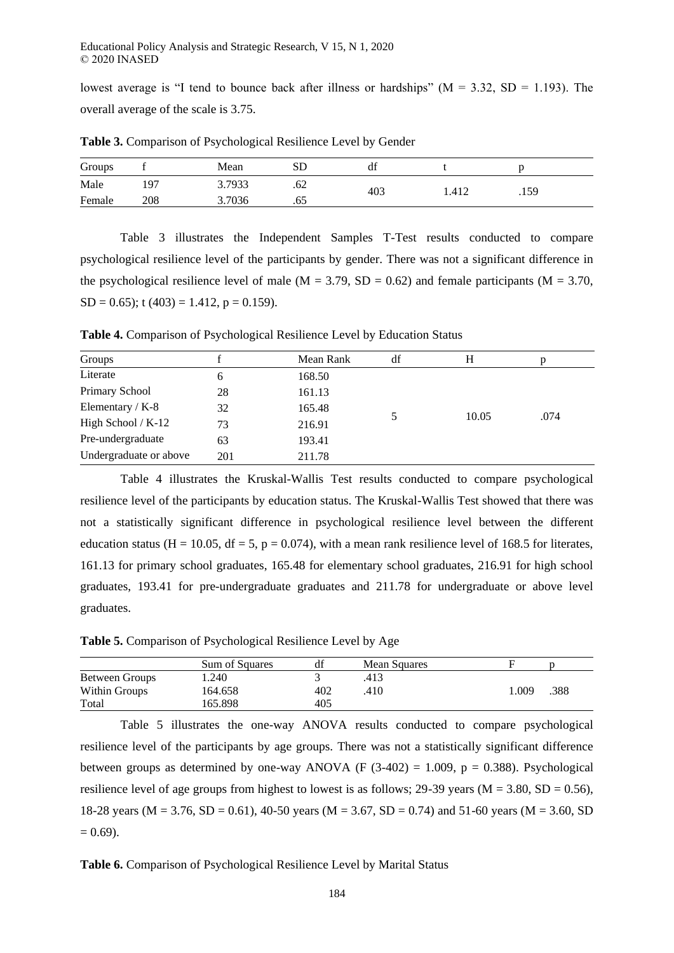lowest average is "I tend to bounce back after illness or hardships" ( $M = 3.32$ , SD = 1.193). The overall average of the scale is 3.75.

| Groups |     | Mean   | SD  | df  |      |  |      |
|--------|-----|--------|-----|-----|------|--|------|
| Male   | ٥7  | 3.7933 | .62 | 403 | .412 |  | .159 |
| Female | 208 | 3.7036 | .65 |     |      |  |      |

**Table 3.** Comparison of Psychological Resilience Level by Gender

Table 3 illustrates the Independent Samples T-Test results conducted to compare psychological resilience level of the participants by gender. There was not a significant difference in the psychological resilience level of male ( $M = 3.79$ ,  $SD = 0.62$ ) and female participants ( $M = 3.70$ ,  $SD = 0.65$ ; t (403) = 1.412, p = 0.159).

**Table 4.** Comparison of Psychological Resilience Level by Education Status

| Groups                 |     | Mean Rank | df | н     | D    |  |
|------------------------|-----|-----------|----|-------|------|--|
| Literate               | 6   | 168.50    |    |       |      |  |
| Primary School         | 28  | 161.13    |    |       |      |  |
| Elementary / $K-8$     | 32  | 165.48    |    |       |      |  |
| High School / K-12     | 73  | 216.91    |    | 10.05 | .074 |  |
| Pre-undergraduate      | 63  | 193.41    |    |       |      |  |
| Undergraduate or above | 201 | 211.78    |    |       |      |  |

Table 4 illustrates the Kruskal-Wallis Test results conducted to compare psychological resilience level of the participants by education status. The Kruskal-Wallis Test showed that there was not a statistically significant difference in psychological resilience level between the different education status (H = 10.05, df = 5, p = 0.074), with a mean rank resilience level of 168.5 for literates, 161.13 for primary school graduates, 165.48 for elementary school graduates, 216.91 for high school graduates, 193.41 for pre-undergraduate graduates and 211.78 for undergraduate or above level graduates.

**Table 5.** Comparison of Psychological Resilience Level by Age

|                | Sum of Squares | ai  | Mean Squares |              |  |
|----------------|----------------|-----|--------------|--------------|--|
| Between Groups | .240           |     | .413         |              |  |
| Within Groups  | 164.658        | 402 | .410         | .009<br>.388 |  |
| Total          | 165.898        | 405 |              |              |  |

Table 5 illustrates the one-way ANOVA results conducted to compare psychological resilience level of the participants by age groups. There was not a statistically significant difference between groups as determined by one-way ANOVA (F  $(3-402) = 1.009$ , p = 0.388). Psychological resilience level of age groups from highest to lowest is as follows; 29-39 years ( $M = 3.80$ ,  $SD = 0.56$ ), 18-28 years (M = 3.76, SD = 0.61), 40-50 years (M = 3.67, SD = 0.74) and 51-60 years (M = 3.60, SD  $= 0.69$ ).

# **Table 6.** Comparison of Psychological Resilience Level by Marital Status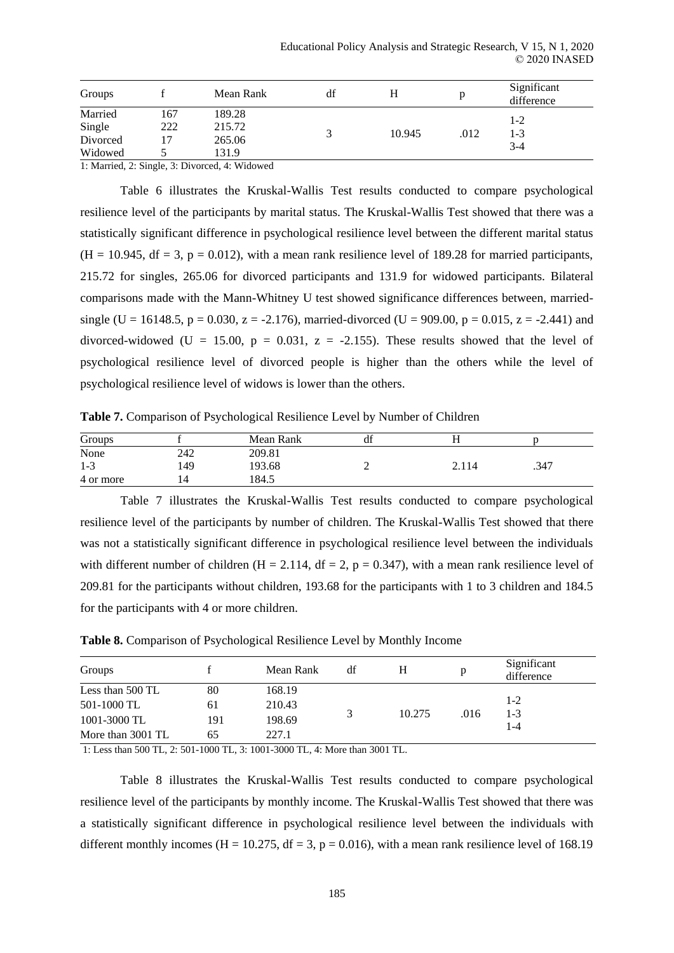| Groups             |            | Mean Rank        | df |        |      | Significant<br>difference |
|--------------------|------------|------------------|----|--------|------|---------------------------|
| Married            | 167<br>222 | 189.28<br>215.72 |    |        |      | $1-2$                     |
| Single<br>Divorced |            | 265.06           |    | 10.945 | .012 | 1-3                       |
| Widowed            |            | 131.9            |    |        |      | 3-4                       |

1: Married, 2: Single, 3: Divorced, 4: Widowed

Table 6 illustrates the Kruskal-Wallis Test results conducted to compare psychological resilience level of the participants by marital status. The Kruskal-Wallis Test showed that there was a statistically significant difference in psychological resilience level between the different marital status  $(H = 10.945, df = 3, p = 0.012)$ , with a mean rank resilience level of 189.28 for married participants, 215.72 for singles, 265.06 for divorced participants and 131.9 for widowed participants. Bilateral comparisons made with the Mann-Whitney U test showed significance differences between, marriedsingle (U = 16148.5, p = 0.030, z = -2.176), married-divorced (U = 909.00, p = 0.015, z = -2.441) and divorced-widowed (U = 15.00,  $p = 0.031$ ,  $z = -2.155$ ). These results showed that the level of psychological resilience level of divorced people is higher than the others while the level of psychological resilience level of widows is lower than the others.

**Table 7.** Comparison of Psychological Resilience Level by Number of Children

| Groups    |     | Mean Rank | df |       |      |
|-----------|-----|-----------|----|-------|------|
| None      | 242 | 209.81    |    |       |      |
| $1 - 3$   | 149 | 193.68    | -  | 2.114 | .347 |
| 4 or more |     | 184.5     |    |       |      |

Table 7 illustrates the Kruskal-Wallis Test results conducted to compare psychological resilience level of the participants by number of children. The Kruskal-Wallis Test showed that there was not a statistically significant difference in psychological resilience level between the individuals with different number of children (H = 2.114, df = 2, p = 0.347), with a mean rank resilience level of 209.81 for the participants without children, 193.68 for the participants with 1 to 3 children and 184.5 for the participants with 4 or more children.

| Groups            |     | Mean Rank | df |        |      | Significant<br>difference |
|-------------------|-----|-----------|----|--------|------|---------------------------|
| Less than 500 TL  | 80  | 168.19    |    |        |      |                           |
| 501-1000 TL       | 61  | 210.43    |    |        | .016 | $1 - 2$                   |
| 1001-3000 TL      | 191 | 198.69    |    | 10.275 |      | $1-3$<br>1-4              |
| More than 3001 TL | 65  | 227.1     |    |        |      |                           |

**Table 8.** Comparison of Psychological Resilience Level by Monthly Income

1: Less than 500 TL, 2: 501-1000 TL, 3: 1001-3000 TL, 4: More than 3001 TL.

Table 8 illustrates the Kruskal-Wallis Test results conducted to compare psychological resilience level of the participants by monthly income. The Kruskal-Wallis Test showed that there was a statistically significant difference in psychological resilience level between the individuals with different monthly incomes (H = 10.275, df = 3, p = 0.016), with a mean rank resilience level of 168.19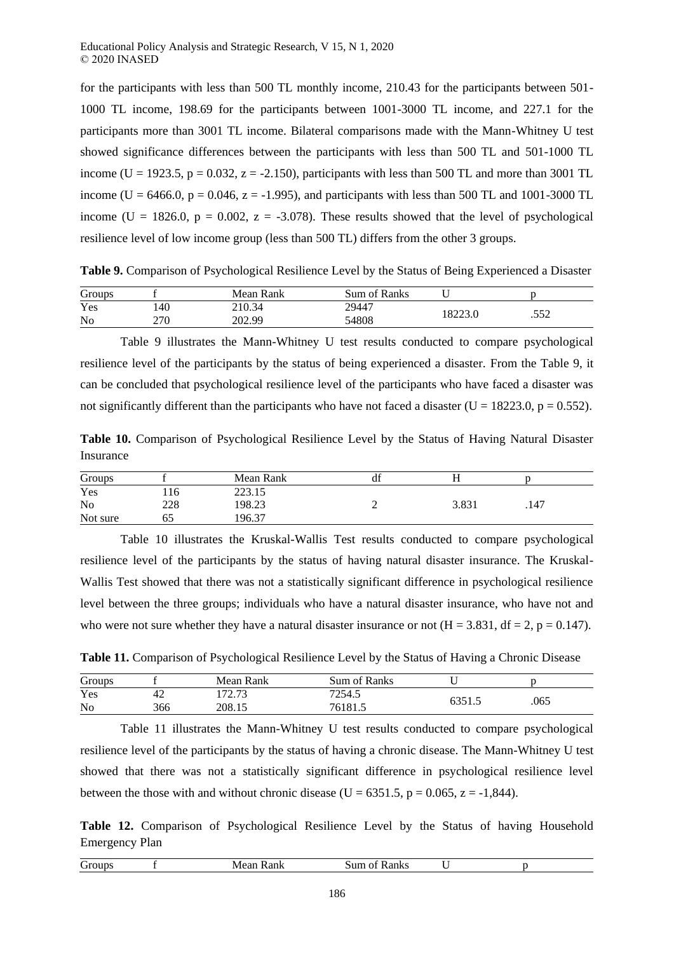for the participants with less than 500 TL monthly income, 210.43 for the participants between 501- 1000 TL income, 198.69 for the participants between 1001-3000 TL income, and 227.1 for the participants more than 3001 TL income. Bilateral comparisons made with the Mann-Whitney U test showed significance differences between the participants with less than 500 TL and 501-1000 TL income (U = 1923.5, p = 0.032, z = -2.150), participants with less than 500 TL and more than 3001 TL income (U = 6466.0, p = 0.046, z = -1.995), and participants with less than 500 TL and 1001-3000 TL income (U = 1826.0,  $p = 0.002$ ,  $z = -3.078$ ). These results showed that the level of psychological resilience level of low income group (less than 500 TL) differs from the other 3 groups.

**Table 9.** Comparison of Psychological Resilience Level by the Status of Being Experienced a Disaster

| Groups         |     | Mean Rank | Sum of Ranks |         |  |            |
|----------------|-----|-----------|--------------|---------|--|------------|
| Yes            | 140 | 210.34    | 29447        | 18223.0 |  | ここつ<br>ے ب |
| N <sub>o</sub> | 270 | 202.99    | 54808        |         |  |            |

Table 9 illustrates the Mann-Whitney U test results conducted to compare psychological resilience level of the participants by the status of being experienced a disaster. From the Table 9, it can be concluded that psychological resilience level of the participants who have faced a disaster was not significantly different than the participants who have not faced a disaster (U = 18223.0,  $p = 0.552$ ).

**Table 10.** Comparison of Psychological Resilience Level by the Status of Having Natural Disaster Insurance

| Groups         |     | Mean Rank | u |       |      |  |
|----------------|-----|-----------|---|-------|------|--|
| Yes            | 10  | 223.15    |   |       |      |  |
| N <sub>o</sub> | 228 | 198.23    |   | 3.831 | .147 |  |
| Not sure       | 62  | 196.37    |   |       |      |  |

Table 10 illustrates the Kruskal-Wallis Test results conducted to compare psychological resilience level of the participants by the status of having natural disaster insurance. The Kruskal-Wallis Test showed that there was not a statistically significant difference in psychological resilience level between the three groups; individuals who have a natural disaster insurance, who have not and who were not sure whether they have a natural disaster insurance or not  $(H = 3.831, df = 2, p = 0.147)$ .

**Table 11.** Comparison of Psychological Resilience Level by the Status of Having a Chronic Disease

| Groups         |     | Mean Rank           | Sum of Ranks |         |      |  |
|----------------|-----|---------------------|--------------|---------|------|--|
| Yes            | 42  | 170.72<br>ر ، ، ، ب | 7254.5       | UJJ 1.J |      |  |
| N <sub>0</sub> | 366 | 208.15              | 76181.       |         | .065 |  |

Table 11 illustrates the Mann-Whitney U test results conducted to compare psychological resilience level of the participants by the status of having a chronic disease. The Mann-Whitney U test showed that there was not a statistically significant difference in psychological resilience level between the those with and without chronic disease (U = 6351.5, p = 0.065, z = -1,844).

**Table 12.** Comparison of Psychological Resilience Level by the Status of having Household Emergency Plan

|  | $\sim$<br>т |  | 0.521<br><b>WILE</b><br>. | .<br>3 U<br>1N. |  |  |  |
|--|-------------|--|---------------------------|-----------------|--|--|--|
|--|-------------|--|---------------------------|-----------------|--|--|--|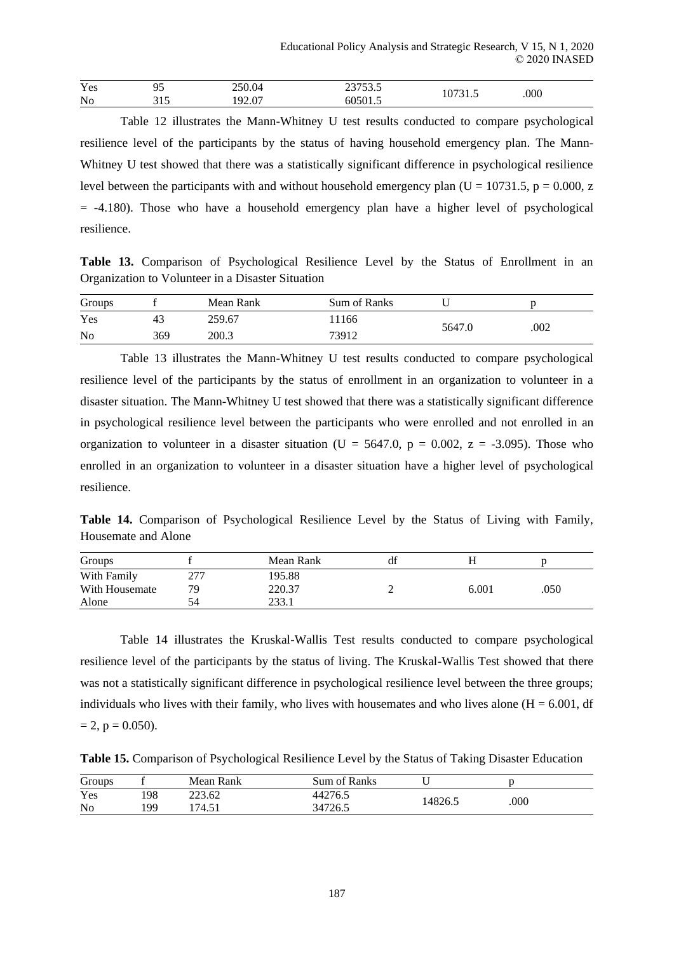| Yes |       | 250.04<br>____               | $\sim$ $\sim$ $\sim$ $\sim$<br><br>--<br>$\sim$ |   |      |
|-----|-------|------------------------------|-------------------------------------------------|---|------|
| No  | ر د ر | $\sim$<br>$\Omega$<br>$\sim$ | 101                                             | . | .000 |

Table 12 illustrates the Mann-Whitney U test results conducted to compare psychological resilience level of the participants by the status of having household emergency plan. The Mann-Whitney U test showed that there was a statistically significant difference in psychological resilience level between the participants with and without household emergency plan ( $U = 10731.5$ , p = 0.000, z  $= -4.180$ ). Those who have a household emergency plan have a higher level of psychological resilience.

**Table 13.** Comparison of Psychological Resilience Level by the Status of Enrollment in an Organization to Volunteer in a Disaster Situation

| Groups         |     | Mean Rank | Sum of Ranks |        |      |
|----------------|-----|-----------|--------------|--------|------|
| Yes            |     | 259.67    | 1166         | 5647.0 |      |
| N <sub>o</sub> | 369 | 200.3     | 73912        |        | .002 |

Table 13 illustrates the Mann-Whitney U test results conducted to compare psychological resilience level of the participants by the status of enrollment in an organization to volunteer in a disaster situation. The Mann-Whitney U test showed that there was a statistically significant difference in psychological resilience level between the participants who were enrolled and not enrolled in an organization to volunteer in a disaster situation (U = 5647.0,  $p = 0.002$ ,  $z = -3.095$ ). Those who enrolled in an organization to volunteer in a disaster situation have a higher level of psychological resilience.

**Table 14.** Comparison of Psychological Resilience Level by the Status of Living with Family, Housemate and Alone

| Groups         |          | Mean Rank | df |       |      |
|----------------|----------|-----------|----|-------|------|
| With Family    | דרר<br>∠ | 195.88    |    |       |      |
| With Housemate | 70       | 220.37    |    | 6.001 | .050 |
| Alone          | 54       | 233.1     |    |       |      |

Table 14 illustrates the Kruskal-Wallis Test results conducted to compare psychological resilience level of the participants by the status of living. The Kruskal-Wallis Test showed that there was not a statistically significant difference in psychological resilience level between the three groups; individuals who lives with their family, who lives with housemates and who lives alone  $(H = 6.001, df)$  $= 2$ ,  $p = 0.050$ ).

**Table 15.** Comparison of Psychological Resilience Level by the Status of Taking Disaster Education

| Groups         |     | Mean Rank | Sum of Ranks |         |  |      |
|----------------|-----|-----------|--------------|---------|--|------|
| Yes            | 198 | 223.62    | 44276.5      | 14826.5 |  | .000 |
| N <sub>0</sub> | 199 | 74.51     | 34726.5      |         |  |      |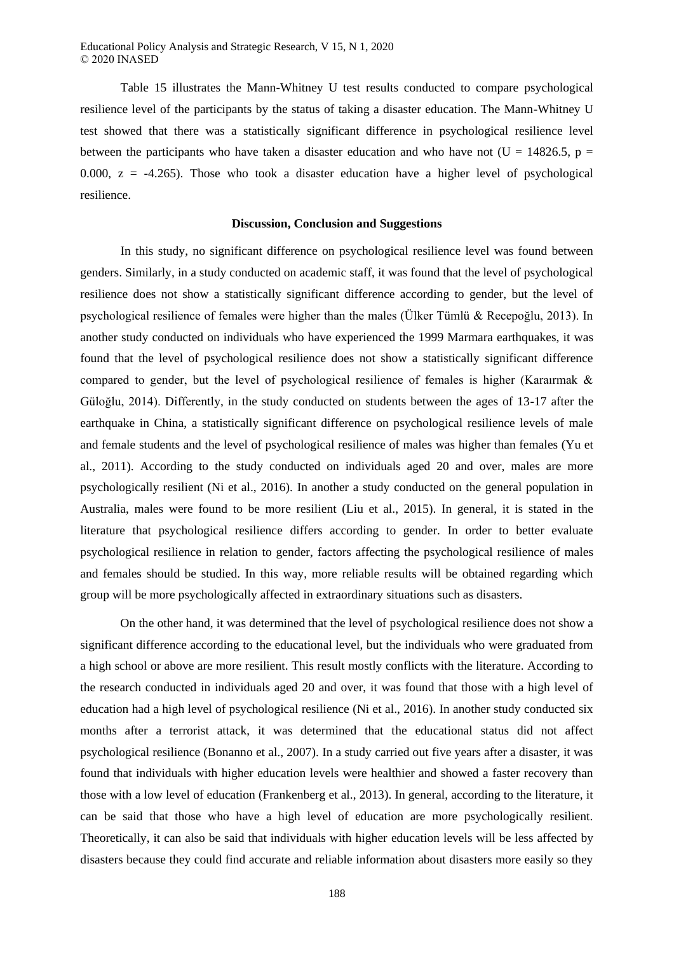Educational Policy Analysis and Strategic Research, V 15, N 1, 2020 © 2020 INASED

Table 15 illustrates the Mann-Whitney U test results conducted to compare psychological resilience level of the participants by the status of taking a disaster education. The Mann-Whitney U test showed that there was a statistically significant difference in psychological resilience level between the participants who have taken a disaster education and who have not (U = 14826.5, p = 0.000,  $z = -4.265$ ). Those who took a disaster education have a higher level of psychological resilience.

#### **Discussion, Conclusion and Suggestions**

In this study, no significant difference on psychological resilience level was found between genders. Similarly, in a study conducted on academic staff, it was found that the level of psychological resilience does not show a statistically significant difference according to gender, but the level of psychological resilience of females were higher than the males (Ülker Tümlü & Recepoğlu, 2013). In another study conducted on individuals who have experienced the 1999 Marmara earthquakes, it was found that the level of psychological resilience does not show a statistically significant difference compared to gender, but the level of psychological resilience of females is higher (Karairmak  $\&$ Güloğlu, 2014). Differently, in the study conducted on students between the ages of 13-17 after the earthquake in China, a statistically significant difference on psychological resilience levels of male and female students and the level of psychological resilience of males was higher than females (Yu et al., 2011). According to the study conducted on individuals aged 20 and over, males are more psychologically resilient (Ni et al., 2016). In another a study conducted on the general population in Australia, males were found to be more resilient (Liu et al., 2015). In general, it is stated in the literature that psychological resilience differs according to gender. In order to better evaluate psychological resilience in relation to gender, factors affecting the psychological resilience of males and females should be studied. In this way, more reliable results will be obtained regarding which group will be more psychologically affected in extraordinary situations such as disasters.

On the other hand, it was determined that the level of psychological resilience does not show a significant difference according to the educational level, but the individuals who were graduated from a high school or above are more resilient. This result mostly conflicts with the literature. According to the research conducted in individuals aged 20 and over, it was found that those with a high level of education had a high level of psychological resilience (Ni et al., 2016). In another study conducted six months after a terrorist attack, it was determined that the educational status did not affect psychological resilience (Bonanno et al., 2007). In a study carried out five years after a disaster, it was found that individuals with higher education levels were healthier and showed a faster recovery than those with a low level of education (Frankenberg et al., 2013). In general, according to the literature, it can be said that those who have a high level of education are more psychologically resilient. Theoretically, it can also be said that individuals with higher education levels will be less affected by disasters because they could find accurate and reliable information about disasters more easily so they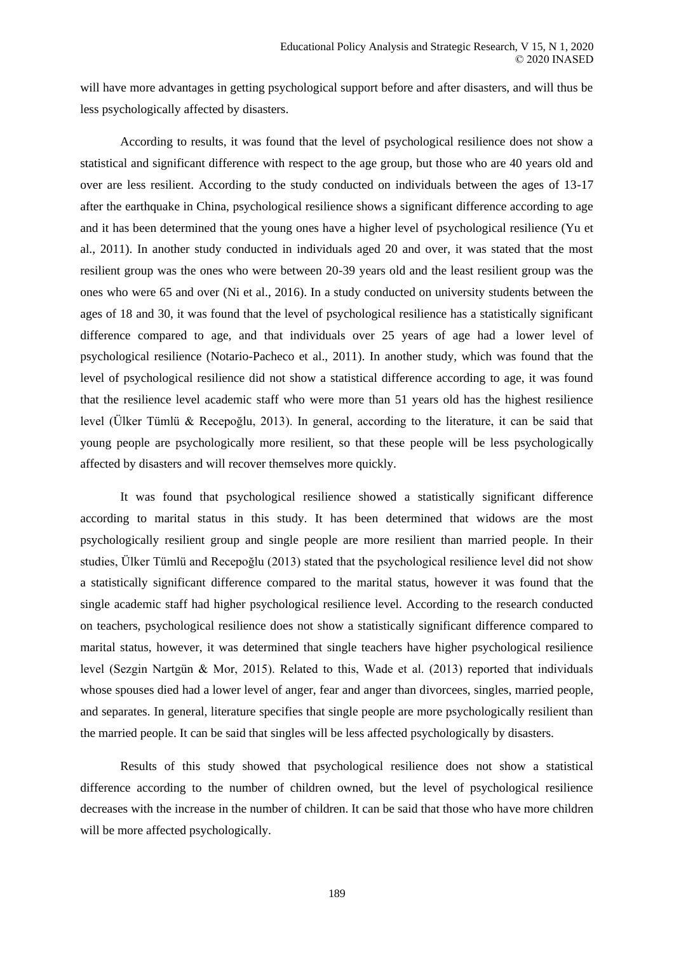will have more advantages in getting psychological support before and after disasters, and will thus be less psychologically affected by disasters.

According to results, it was found that the level of psychological resilience does not show a statistical and significant difference with respect to the age group, but those who are 40 years old and over are less resilient. According to the study conducted on individuals between the ages of 13-17 after the earthquake in China, psychological resilience shows a significant difference according to age and it has been determined that the young ones have a higher level of psychological resilience (Yu et al., 2011). In another study conducted in individuals aged 20 and over, it was stated that the most resilient group was the ones who were between 20-39 years old and the least resilient group was the ones who were 65 and over (Ni et al., 2016). In a study conducted on university students between the ages of 18 and 30, it was found that the level of psychological resilience has a statistically significant difference compared to age, and that individuals over 25 years of age had a lower level of psychological resilience (Notario-Pacheco et al., 2011). In another study, which was found that the level of psychological resilience did not show a statistical difference according to age, it was found that the resilience level academic staff who were more than 51 years old has the highest resilience level (Ülker Tümlü & Recepoğlu, 2013). In general, according to the literature, it can be said that young people are psychologically more resilient, so that these people will be less psychologically affected by disasters and will recover themselves more quickly.

It was found that psychological resilience showed a statistically significant difference according to marital status in this study. It has been determined that widows are the most psychologically resilient group and single people are more resilient than married people. In their studies, Ülker Tümlü and Recepoğlu (2013) stated that the psychological resilience level did not show a statistically significant difference compared to the marital status, however it was found that the single academic staff had higher psychological resilience level. According to the research conducted on teachers, psychological resilience does not show a statistically significant difference compared to marital status, however, it was determined that single teachers have higher psychological resilience level (Sezgin Nartgün & Mor, 2015). Related to this, Wade et al. (2013) reported that individuals whose spouses died had a lower level of anger, fear and anger than divorcees, singles, married people, and separates. In general, literature specifies that single people are more psychologically resilient than the married people. It can be said that singles will be less affected psychologically by disasters.

Results of this study showed that psychological resilience does not show a statistical difference according to the number of children owned, but the level of psychological resilience decreases with the increase in the number of children. It can be said that those who have more children will be more affected psychologically.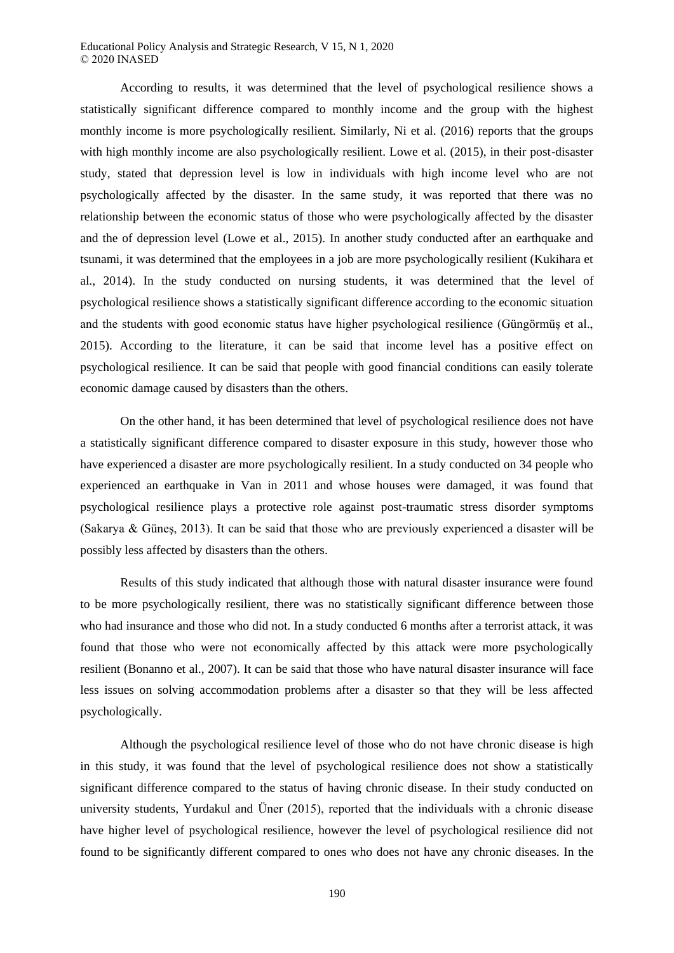Educational Policy Analysis and Strategic Research, V 15, N 1, 2020 © 2020 INASED

According to results, it was determined that the level of psychological resilience shows a statistically significant difference compared to monthly income and the group with the highest monthly income is more psychologically resilient. Similarly, Ni et al. (2016) reports that the groups with high monthly income are also psychologically resilient. Lowe et al. (2015), in their post-disaster study, stated that depression level is low in individuals with high income level who are not psychologically affected by the disaster. In the same study, it was reported that there was no relationship between the economic status of those who were psychologically affected by the disaster and the of depression level (Lowe et al., 2015). In another study conducted after an earthquake and tsunami, it was determined that the employees in a job are more psychologically resilient (Kukihara et al., 2014). In the study conducted on nursing students, it was determined that the level of psychological resilience shows a statistically significant difference according to the economic situation and the students with good economic status have higher psychological resilience (Güngörmüş et al., 2015). According to the literature, it can be said that income level has a positive effect on psychological resilience. It can be said that people with good financial conditions can easily tolerate economic damage caused by disasters than the others.

On the other hand, it has been determined that level of psychological resilience does not have a statistically significant difference compared to disaster exposure in this study, however those who have experienced a disaster are more psychologically resilient. In a study conducted on 34 people who experienced an earthquake in Van in 2011 and whose houses were damaged, it was found that psychological resilience plays a protective role against post-traumatic stress disorder symptoms (Sakarya & Güneş, 2013). It can be said that those who are previously experienced a disaster will be possibly less affected by disasters than the others.

Results of this study indicated that although those with natural disaster insurance were found to be more psychologically resilient, there was no statistically significant difference between those who had insurance and those who did not. In a study conducted 6 months after a terrorist attack, it was found that those who were not economically affected by this attack were more psychologically resilient (Bonanno et al., 2007). It can be said that those who have natural disaster insurance will face less issues on solving accommodation problems after a disaster so that they will be less affected psychologically.

Although the psychological resilience level of those who do not have chronic disease is high in this study, it was found that the level of psychological resilience does not show a statistically significant difference compared to the status of having chronic disease. In their study conducted on university students, Yurdakul and Üner (2015), reported that the individuals with a chronic disease have higher level of psychological resilience, however the level of psychological resilience did not found to be significantly different compared to ones who does not have any chronic diseases. In the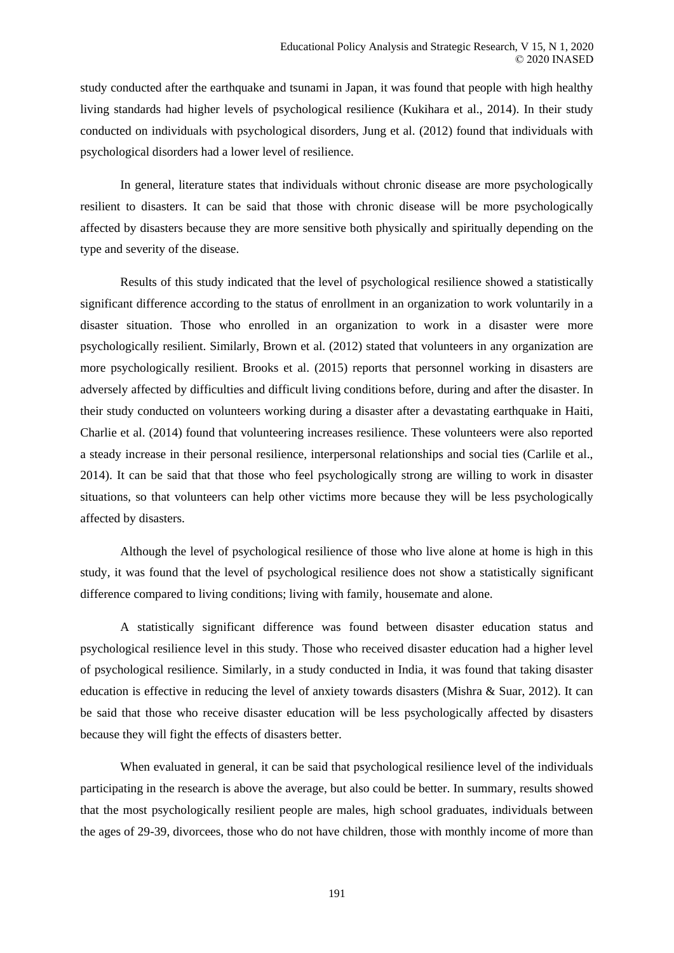study conducted after the earthquake and tsunami in Japan, it was found that people with high healthy living standards had higher levels of psychological resilience (Kukihara et al., 2014). In their study conducted on individuals with psychological disorders, Jung et al. (2012) found that individuals with psychological disorders had a lower level of resilience.

In general, literature states that individuals without chronic disease are more psychologically resilient to disasters. It can be said that those with chronic disease will be more psychologically affected by disasters because they are more sensitive both physically and spiritually depending on the type and severity of the disease.

Results of this study indicated that the level of psychological resilience showed a statistically significant difference according to the status of enrollment in an organization to work voluntarily in a disaster situation. Those who enrolled in an organization to work in a disaster were more psychologically resilient. Similarly, Brown et al. (2012) stated that volunteers in any organization are more psychologically resilient. Brooks et al. (2015) reports that personnel working in disasters are adversely affected by difficulties and difficult living conditions before, during and after the disaster. In their study conducted on volunteers working during a disaster after a devastating earthquake in Haiti, Charlie et al. (2014) found that volunteering increases resilience. These volunteers were also reported a steady increase in their personal resilience, interpersonal relationships and social ties (Carlile et al., 2014). It can be said that that those who feel psychologically strong are willing to work in disaster situations, so that volunteers can help other victims more because they will be less psychologically affected by disasters.

Although the level of psychological resilience of those who live alone at home is high in this study, it was found that the level of psychological resilience does not show a statistically significant difference compared to living conditions; living with family, housemate and alone.

A statistically significant difference was found between disaster education status and psychological resilience level in this study. Those who received disaster education had a higher level of psychological resilience. Similarly, in a study conducted in India, it was found that taking disaster education is effective in reducing the level of anxiety towards disasters (Mishra & Suar, 2012). It can be said that those who receive disaster education will be less psychologically affected by disasters because they will fight the effects of disasters better.

When evaluated in general, it can be said that psychological resilience level of the individuals participating in the research is above the average, but also could be better. In summary, results showed that the most psychologically resilient people are males, high school graduates, individuals between the ages of 29-39, divorcees, those who do not have children, those with monthly income of more than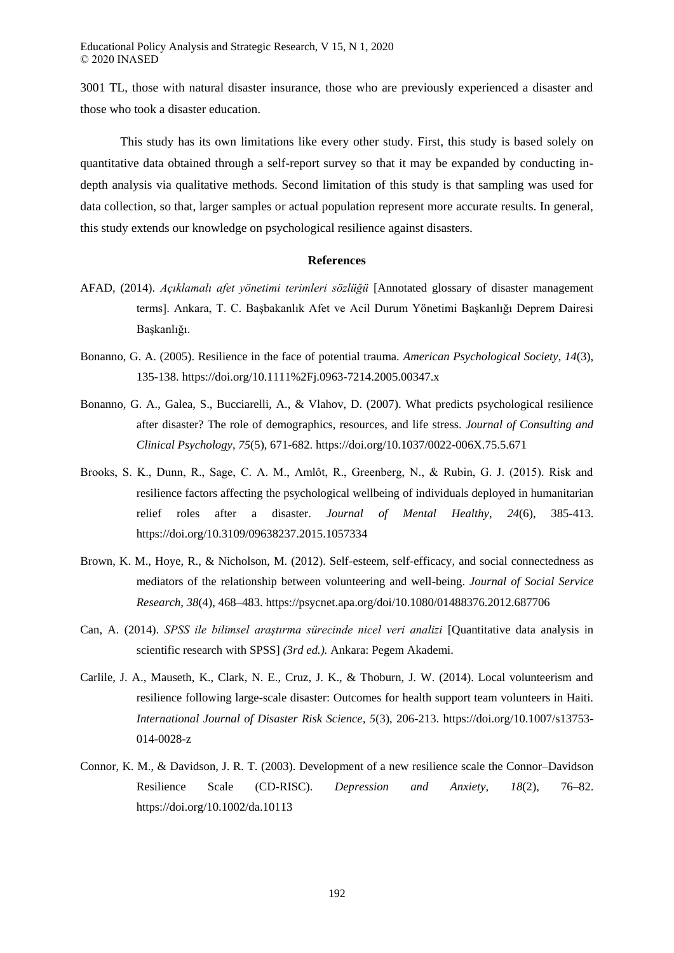3001 TL, those with natural disaster insurance, those who are previously experienced a disaster and those who took a disaster education.

This study has its own limitations like every other study. First, this study is based solely on quantitative data obtained through a self-report survey so that it may be expanded by conducting indepth analysis via qualitative methods. Second limitation of this study is that sampling was used for data collection, so that, larger samples or actual population represent more accurate results. In general, this study extends our knowledge on psychological resilience against disasters.

#### **References**

- AFAD, (2014). *Açıklamalı afet yönetimi terimleri sözlüğü* [Annotated glossary of disaster management terms]. Ankara, T. C. Başbakanlık Afet ve Acil Durum Yönetimi Başkanlığı Deprem Dairesi Başkanlığı.
- Bonanno, G. A. (2005). Resilience in the face of potential trauma. *American Psychological Society*, *14*(3), 135-138. https://doi.org/10.1111%2Fj.0963-7214.2005.00347.x
- Bonanno, G. A., Galea, S., Bucciarelli, A., & Vlahov, D. (2007). What predicts psychological resilience after disaster? The role of demographics, resources, and life stress. *Journal of Consulting and Clinical Psychology*, *75*(5), 671-682. https://doi.org/10.1037/0022-006X.75.5.671
- Brooks, S. K., Dunn, R., Sage, C. A. M., Amlôt, R., Greenberg, N., & Rubin, G. J. (2015). Risk and resilience factors affecting the psychological wellbeing of individuals deployed in humanitarian relief roles after a disaster. *Journal of Mental Healthy*, *24*(6), 385-413. https://doi.org/10.3109/09638237.2015.1057334
- Brown, K. M., Hoye, R., & Nicholson, M. (2012). Self-esteem, self-efficacy, and social connectedness as mediators of the relationship between volunteering and well-being. *Journal of Social Service Research*, *38*(4), 468–483. https://psycnet.apa.org/doi/10.1080/01488376.2012.687706
- Can, A. (2014). *SPSS ile bilimsel araştırma sürecinde nicel veri analizi* [Quantitative data analysis in scientific research with SPSS] *(3rd ed.).* Ankara: Pegem Akademi.
- Carlile, J. A., Mauseth, K., Clark, N. E., Cruz, J. K., & Thoburn, J. W. (2014). Local volunteerism and resilience following large-scale disaster: Outcomes for health support team volunteers in Haiti. *International Journal of Disaster Risk Science, 5*(3), 206-213. https://doi.org/10.1007/s13753- 014-0028-z
- Connor, K. M., & Davidson, J. R. T. (2003). Development of a new resilience scale the Connor–Davidson Resilience Scale (CD-RISC). *Depression and Anxiety, 18*(2), 76–82. https://doi.org/10.1002/da.10113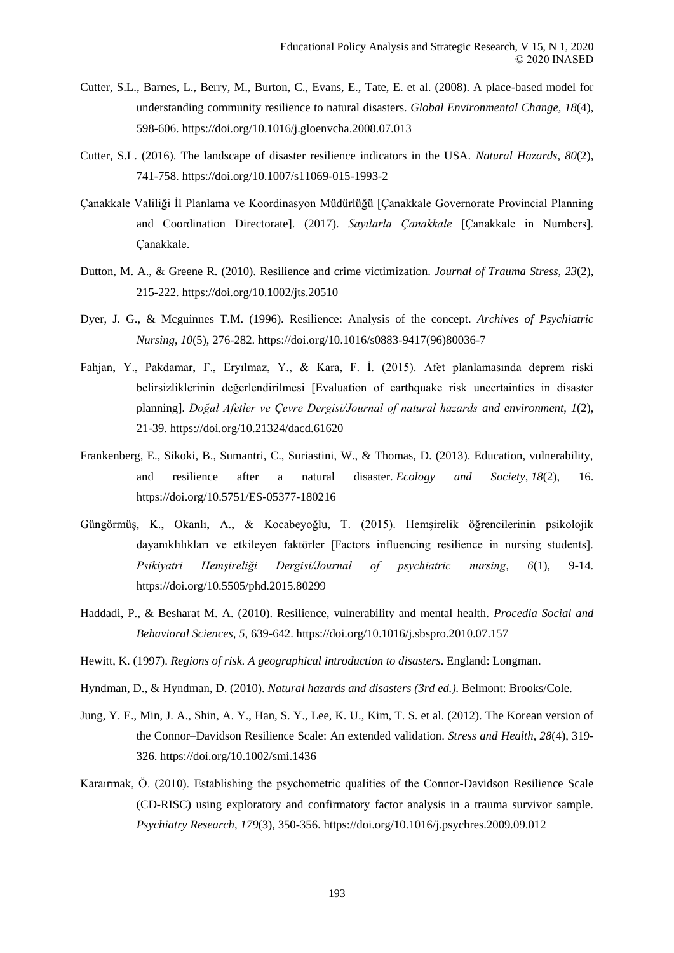- Cutter, S.L., Barnes, L., Berry, M., Burton, C., Evans, E., Tate, E. et al. (2008). A place-based model for understanding community resilience to natural disasters. *Global Environmental Change, 18*(4), 598-606. https://doi.org/10.1016/j.gloenvcha.2008.07.013
- Cutter, S.L. (2016). The landscape of disaster resilience indicators in the USA. *Natural Hazards*, *80*(2), 741-758. https://doi.org/10.1007/s11069-015-1993-2
- Çanakkale Valiliği İl Planlama ve Koordinasyon Müdürlüğü [Çanakkale Governorate Provincial Planning and Coordination Directorate]. (2017). *Sayılarla Çanakkale* [Çanakkale in Numbers]. Çanakkale.
- Dutton, M. A., & Greene R. (2010). Resilience and crime victimization. *Journal of Trauma Stress*, *23*(2), 215-222. https://doi.org/10.1002/jts.20510
- Dyer, J. G., & Mcguinnes T.M. (1996). Resilience: Analysis of the concept. *Archives of Psychiatric Nursing*, *10*(5), 276-282. https://doi.org/10.1016/s0883-9417(96)80036-7
- Fahjan, Y., Pakdamar, F., Eryılmaz, Y., & Kara, F. İ. (2015). Afet planlamasında deprem riski belirsizliklerinin değerlendirilmesi [Evaluation of earthquake risk uncertainties in disaster planning]. *Doğal Afetler ve Çevre Dergisi/Journal of natural hazards and environment*, *1*(2), 21-39. https://doi.org/10.21324/dacd.61620
- Frankenberg, E., Sikoki, B., Sumantri, C., Suriastini, W., & Thomas, D. (2013). Education, vulnerability, and resilience after a natural disaster. *Ecology and Society*, *18*(2), 16. https://doi.org/10.5751/ES-05377-180216
- Güngörmüş, K., Okanlı, A., & Kocabeyoğlu, T. (2015). Hemşirelik öğrencilerinin psikolojik dayanıklılıkları ve etkileyen faktörler [Factors influencing resilience in nursing students]. *Psikiyatri Hemşireliği Dergisi/Journal of psychiatric nursing*, *6*(1), 9-14. https://doi.org/10.5505/phd.2015.80299
- Haddadi, P., & Besharat M. A. (2010). Resilience, vulnerability and mental health. *Procedia Social and Behavioral Sciences, 5,* 639-642. https://doi.org/10.1016/j.sbspro.2010.07.157
- Hewitt, K. (1997). *Regions of risk. A geographical introduction to disasters*. England: Longman.
- Hyndman, D., & Hyndman, D. (2010). *Natural hazards and disasters (3rd ed.).* Belmont: Brooks/Cole.
- Jung, Y. E., Min, J. A., Shin, A. Y., Han, S. Y., Lee, K. U., Kim, T. S. et al. (2012). The Korean version of the Connor–Davidson Resilience Scale: An extended validation. *Stress and Health*, *28*(4), 319- 326. https://doi.org/10.1002/smi.1436
- Karaırmak, Ö. (2010). Establishing the psychometric qualities of the Connor-Davidson Resilience Scale (CD-RISC) using exploratory and confirmatory factor analysis in a trauma survivor sample. *Psychiatry Research*, *179*(3), 350-356. https://doi.org/10.1016/j.psychres.2009.09.012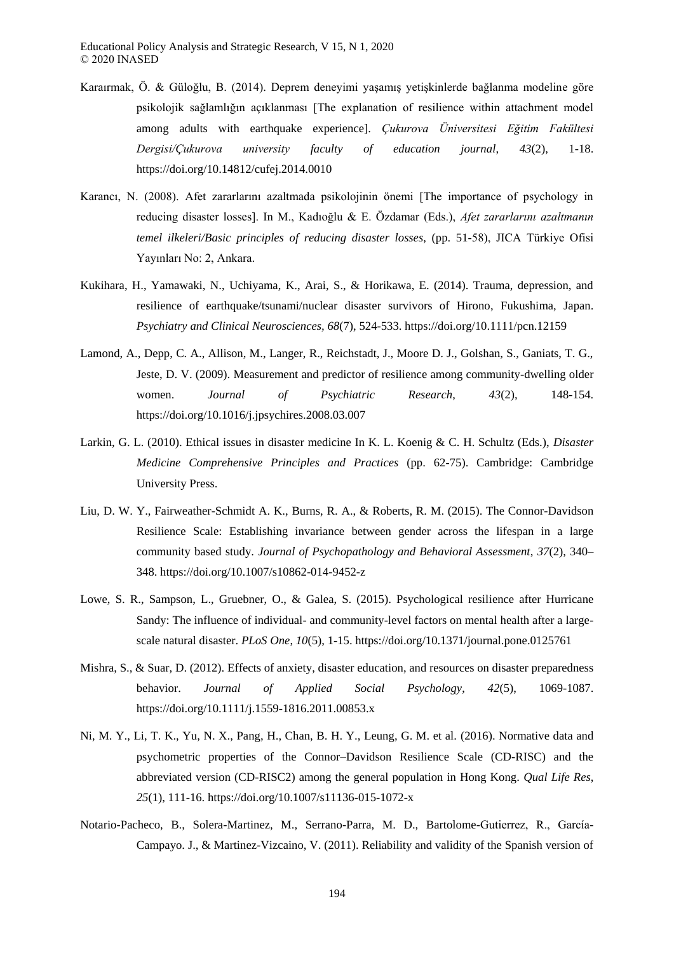- Karaırmak, Ö. & Güloğlu, B. (2014). Deprem deneyimi yaşamış yetişkinlerde bağlanma modeline göre psikolojik sağlamlığın açıklanması [The explanation of resilience within attachment model among adults with earthquake experience]. *Çukurova Üniversitesi Eğitim Fakültesi Dergisi/Çukurova university faculty of education journal*, *43*(2), 1-18. https://doi.org/10.14812/cufej.2014.0010
- Karancı, N. (2008). Afet zararlarını azaltmada psikolojinin önemi [The importance of psychology in reducing disaster losses]. In M., Kadıoğlu & E. Özdamar (Eds.), *Afet zararlarını azaltmanın temel ilkeleri/Basic principles of reducing disaster losses*, (pp. 51-58), JICA Türkiye Ofisi Yayınları No: 2, Ankara.
- Kukihara, H., Yamawaki, N., Uchiyama, K., Arai, S., & Horikawa, E. (2014). Trauma, depression, and resilience of earthquake/tsunami/nuclear disaster survivors of Hirono, Fukushima, Japan. *Psychiatry and Clinical Neurosciences, 68*(7), 524-533. https://doi.org/10.1111/pcn.12159
- Lamond, A., Depp, C. A., Allison, M., Langer, R., Reichstadt, J., Moore D. J., Golshan, S., Ganiats, T. G., Jeste, D. V. (2009). Measurement and predictor of resilience among community-dwelling older women. *Journal of Psychiatric Research*, *43*(2), 148-154. https://doi.org/10.1016/j.jpsychires.2008.03.007
- Larkin, G. L. (2010). Ethical issues in disaster medicine In K. L. Koenig & C. H. Schultz (Eds.), *Disaster Medicine Comprehensive Principles and Practices* (pp. 62-75). Cambridge: Cambridge University Press.
- Liu, D. W. Y., Fairweather-Schmidt A. K., Burns, R. A., & Roberts, R. M. (2015). The Connor-Davidson Resilience Scale: Establishing invariance between gender across the lifespan in a large community based study. *Journal of Psychopathology and Behavioral Assessment*, *37*(2), 340– 348. https://doi.org/10.1007/s10862-014-9452-z
- Lowe, S. R., Sampson, L., Gruebner, O., & Galea, S. (2015). Psychological resilience after Hurricane Sandy: The influence of individual- and community-level factors on mental health after a largescale natural disaster. *PLoS One*, *10*(5), 1-15. https://doi.org/10.1371/journal.pone.0125761
- Mishra, S., & Suar, D. (2012). Effects of anxiety, disaster education, and resources on disaster preparedness behavior. *Journal of Applied Social Psychology*, *42*(5), 1069-1087. https://doi.org/10.1111/j.1559-1816.2011.00853.x
- Ni, M. Y., Li, T. K., Yu, N. X., Pang, H., Chan, B. H. Y., Leung, G. M. et al. (2016). Normative data and psychometric properties of the Connor–Davidson Resilience Scale (CD-RISC) and the abbreviated version (CD-RISC2) among the general population in Hong Kong. *Qual Life Res*, *25*(1), 111-16. https://doi.org/10.1007/s11136-015-1072-x
- Notario-Pacheco, B., Solera-Martinez, M., Serrano-Parra, M. D., Bartolome-Gutierrez, R., García-Campayo. J., & Martinez-Vizcaino, V. (2011). Reliability and validity of the Spanish version of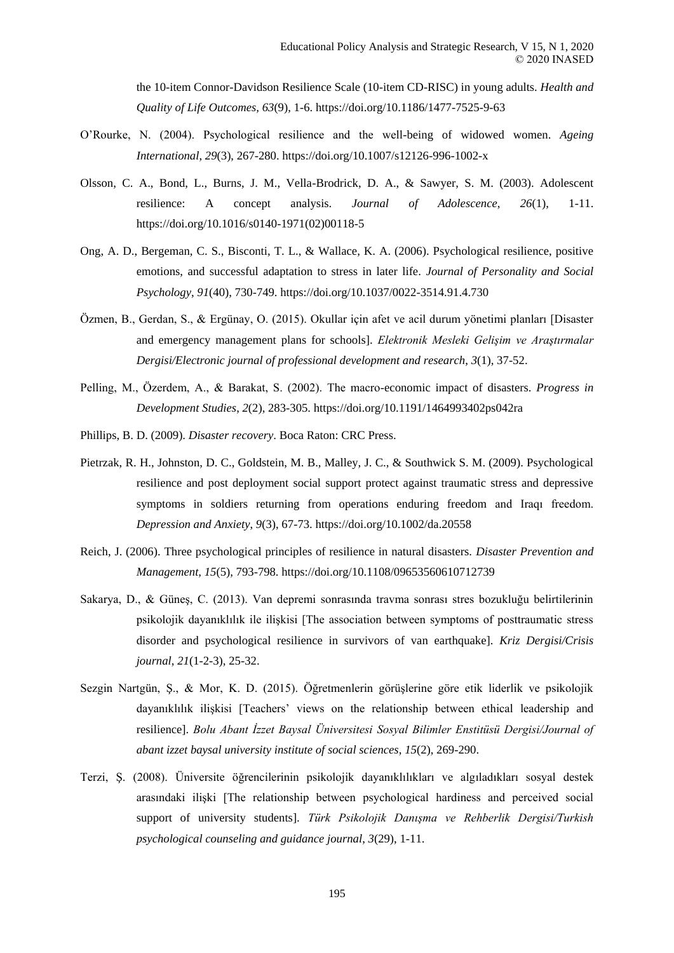the 10-item Connor-Davidson Resilience Scale (10-item CD-RISC) in young adults. *Health and Quality of Life Outcomes, 63*(9), 1-6. https://doi.org/10.1186/1477-7525-9-63

- O'Rourke, N. (2004). Psychological resilience and the well-being of widowed women. *Ageing International*, *29*(3), 267-280. https://doi.org/10.1007/s12126-996-1002-x
- Olsson, C. A., Bond, L., Burns, J. M., Vella-Brodrick, D. A., & Sawyer, S. M. (2003). Adolescent resilience: A concept analysis. *Journal of Adolescence*, *26*(1), 1-11. https://doi.org/10.1016/s0140-1971(02)00118-5
- Ong, A. D., Bergeman, C. S., Bisconti, T. L., & Wallace, K. A. (2006). Psychological resilience, positive emotions, and successful adaptation to stress in later life. *Journal of Personality and Social Psychology*, *91*(40), 730-749. https://doi.org/10.1037/0022-3514.91.4.730
- Özmen, B., Gerdan, S., & Ergünay, O. (2015). Okullar için afet ve acil durum yönetimi planları [Disaster and emergency management plans for schools]. *Elektronik Mesleki Gelişim ve Araştırmalar Dergisi/Electronic journal of professional development and research*, *3*(1), 37-52.
- Pelling, M., Özerdem, A., & Barakat, S. (2002). The macro-economic impact of disasters. *Progress in Development Studies*, *2*(2), 283-305. https://doi.org/10.1191/1464993402ps042ra
- Phillips, B. D. (2009). *Disaster recovery*. Boca Raton: CRC Press.
- Pietrzak, R. H., Johnston, D. C., Goldstein, M. B., Malley, J. C., & Southwick S. M. (2009). Psychological resilience and post deployment social support protect against traumatic stress and depressive symptoms in soldiers returning from operations enduring freedom and Iraqı freedom. *Depression and Anxiety*, *9*(3), 67-73. https://doi.org/10.1002/da.20558
- Reich, J. (2006). Three psychological principles of resilience in natural disasters. *Disaster Prevention and Management, 15*(5), 793-798. https://doi.org/10.1108/09653560610712739
- Sakarya, D., & Güneş, C. (2013). Van depremi sonrasında travma sonrası stres bozukluğu belirtilerinin psikolojik dayanıklılık ile ilişkisi [The association between symptoms of posttraumatic stress disorder and psychological resilience in survivors of van earthquake]. *Kriz Dergisi/Crisis journal*, *21*(1-2-3), 25-32.
- Sezgin Nartgün, Ş., & Mor, K. D. (2015). Öğretmenlerin görüşlerine göre etik liderlik ve psikolojik dayanıklılık ilişkisi [Teachers' views on the relationship between ethical leadership and resilience]. *Bolu Abant İzzet Baysal Üniversitesi Sosyal Bilimler Enstitüsü Dergisi/Journal of abant izzet baysal university institute of social sciences*, *15*(2), 269-290.
- Terzi, Ş. (2008). Üniversite öğrencilerinin psikolojik dayanıklılıkları ve algıladıkları sosyal destek arasındaki ilişki [The relationship between psychological hardiness and perceived social support of university students]. *Türk Psikolojik Danışma ve Rehberlik Dergisi/Turkish psychological counseling and guidance journal*, *3*(29), 1-11.